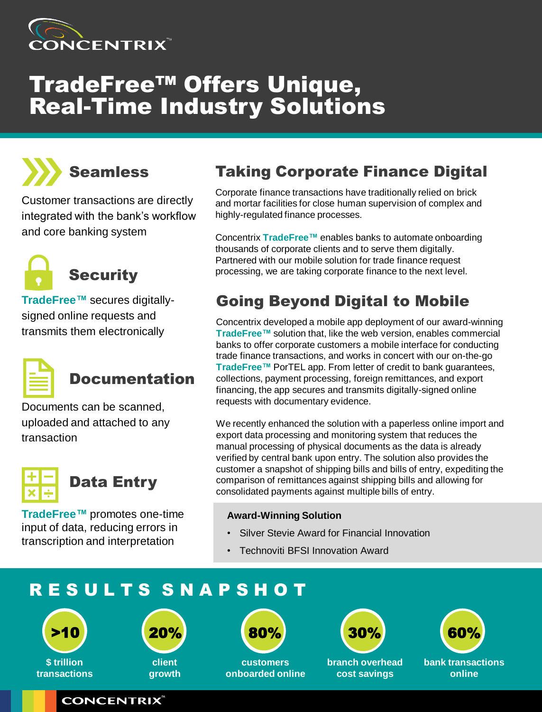

# TradeFree™ Offers Unique, **Real-Time Industry Solutions**



Customer transactions are directly integrated with the bank's workflow and core banking system



**TradeFree™** secures digitallysigned online requests and transmits them electronically



## Documentation

Documents can be scanned, uploaded and attached to any transaction



**TradeFree™** promotes one-time input of data, reducing errors in transcription and interpretation

**CONCENTRIX** 

## Taking Corporate Finance Digital

Corporate finance transactions have traditionally relied on brick and mortar facilities for close human supervision of complex and highly-regulated finance processes.

Concentrix **TradeFree™** enables banks to automate onboarding thousands of corporate clients and to serve them digitally. Partnered with our mobile solution for trade finance request processing, we are taking corporate finance to the next level.

## Going Beyond Digital to Mobile

Concentrix developed a mobile app deployment of our award-winning **TradeFree™** solution that, like the web version, enables commercial banks to offer corporate customers a mobile interface for conducting trade finance transactions, and works in concert with our on-the-go **TradeFree™** PorTEL app. From letter of credit to bank guarantees, collections, payment processing, foreign remittances, and export financing, the app secures and transmits digitally-signed online requests with documentary evidence.

We recently enhanced the solution with a paperless online import and export data processing and monitoring system that reduces the manual processing of physical documents as the data is already verified by central bank upon entry. The solution also provides the customer a snapshot of shipping bills and bills of entry, expediting the comparison of remittances against shipping bills and allowing for consolidated payments against multiple bills of entry.

#### **Award-Winning Solution**

- Silver Stevie Award for Financial Innovation
- Technoviti BFSI Innovation Award

## R E S U L T S S N A P S H O T





**client growth**



**customers onboarded online**



**branch overhead cost savings**